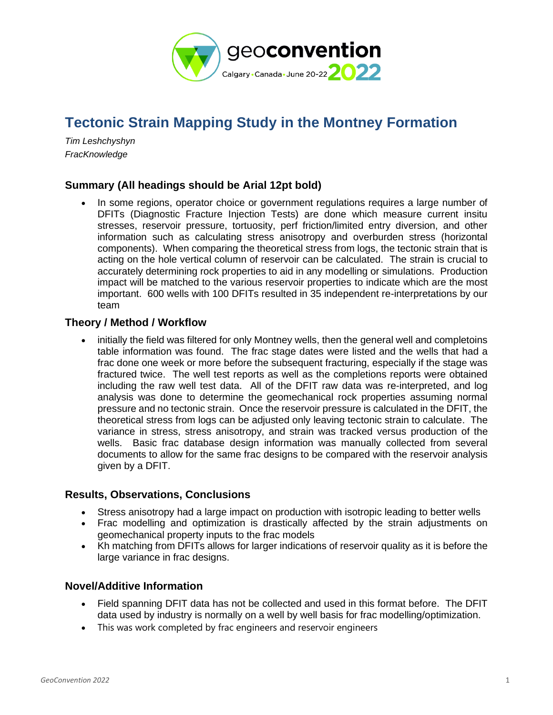

# **Tectonic Strain Mapping Study in the Montney Formation**

*Tim Leshchyshyn FracKnowledge*

### **Summary (All headings should be Arial 12pt bold)**

• In some regions, operator choice or government regulations requires a large number of DFITs (Diagnostic Fracture Injection Tests) are done which measure current insitu stresses, reservoir pressure, tortuosity, perf friction/limited entry diversion, and other information such as calculating stress anisotropy and overburden stress (horizontal components). When comparing the theoretical stress from logs, the tectonic strain that is acting on the hole vertical column of reservoir can be calculated. The strain is crucial to accurately determining rock properties to aid in any modelling or simulations. Production impact will be matched to the various reservoir properties to indicate which are the most important. 600 wells with 100 DFITs resulted in 35 independent re-interpretations by our team

#### **Theory / Method / Workflow**

• initially the field was filtered for only Montney wells, then the general well and completoins table information was found. The frac stage dates were listed and the wells that had a frac done one week or more before the subsequent fracturing, especially if the stage was fractured twice. The well test reports as well as the completions reports were obtained including the raw well test data. All of the DFIT raw data was re-interpreted, and log analysis was done to determine the geomechanical rock properties assuming normal pressure and no tectonic strain. Once the reservoir pressure is calculated in the DFIT, the theoretical stress from logs can be adjusted only leaving tectonic strain to calculate. The variance in stress, stress anisotropy, and strain was tracked versus production of the wells. Basic frac database design information was manually collected from several documents to allow for the same frac designs to be compared with the reservoir analysis given by a DFIT.

#### **Results, Observations, Conclusions**

- Stress anisotropy had a large impact on production with isotropic leading to better wells
- Frac modelling and optimization is drastically affected by the strain adjustments on geomechanical property inputs to the frac models
- Kh matching from DFITs allows for larger indications of reservoir quality as it is before the large variance in frac designs.

#### **Novel/Additive Information**

- Field spanning DFIT data has not be collected and used in this format before. The DFIT data used by industry is normally on a well by well basis for frac modelling/optimization.
- This was work completed by frac engineers and reservoir engineers